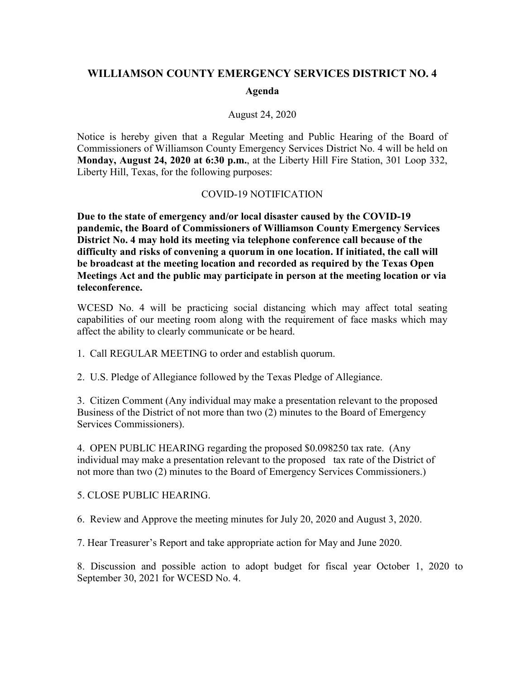## **WILLIAMSON COUNTY EMERGENCY SERVICES DISTRICT NO. 4**

## **Agenda**

## August 24, 2020

Notice is hereby given that a Regular Meeting and Public Hearing of the Board of Commissioners of Williamson County Emergency Services District No. 4 will be held on **Monday, August 24, 2020 at 6:30 p.m.**, at the Liberty Hill Fire Station, 301 Loop 332, Liberty Hill, Texas, for the following purposes:

## COVID-19 NOTIFICATION

**Due to the state of emergency and/or local disaster caused by the COVID-19 pandemic, the Board of Commissioners of Williamson County Emergency Services District No. 4 may hold its meeting via telephone conference call because of the difficulty and risks of convening a quorum in one location. If initiated, the call will be broadcast at the meeting location and recorded as required by the Texas Open Meetings Act and the public may participate in person at the meeting location or via teleconference.**

WCESD No. 4 will be practicing social distancing which may affect total seating capabilities of our meeting room along with the requirement of face masks which may affect the ability to clearly communicate or be heard.

1. Call REGULAR MEETING to order and establish quorum.

2. U.S. Pledge of Allegiance followed by the Texas Pledge of Allegiance.

3. Citizen Comment (Any individual may make a presentation relevant to the proposed Business of the District of not more than two (2) minutes to the Board of Emergency Services Commissioners).

4. OPEN PUBLIC HEARING regarding the proposed \$0.098250 tax rate. (Any individual may make a presentation relevant to the proposed tax rate of the District of not more than two (2) minutes to the Board of Emergency Services Commissioners.)

5. CLOSE PUBLIC HEARING.

6. Review and Approve the meeting minutes for July 20, 2020 and August 3, 2020.

7. Hear Treasurer's Report and take appropriate action for May and June 2020.

8. Discussion and possible action to adopt budget for fiscal year October 1, 2020 to September 30, 2021 for WCESD No. 4.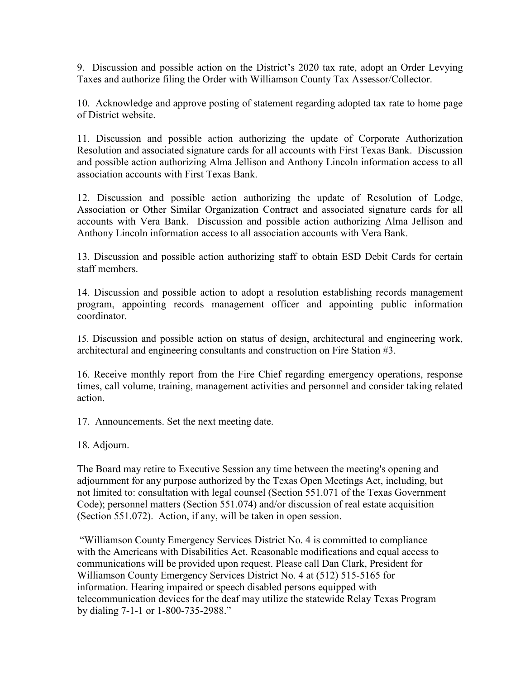9. Discussion and possible action on the District's 2020 tax rate, adopt an Order Levying Taxes and authorize filing the Order with Williamson County Tax Assessor/Collector.

10. Acknowledge and approve posting of statement regarding adopted tax rate to home page of District website.

11. Discussion and possible action authorizing the update of Corporate Authorization Resolution and associated signature cards for all accounts with First Texas Bank. Discussion and possible action authorizing Alma Jellison and Anthony Lincoln information access to all association accounts with First Texas Bank.

12. Discussion and possible action authorizing the update of Resolution of Lodge, Association or Other Similar Organization Contract and associated signature cards for all accounts with Vera Bank. Discussion and possible action authorizing Alma Jellison and Anthony Lincoln information access to all association accounts with Vera Bank.

13. Discussion and possible action authorizing staff to obtain ESD Debit Cards for certain staff members.

14. Discussion and possible action to adopt a resolution establishing records management program, appointing records management officer and appointing public information coordinator.

15. Discussion and possible action on status of design, architectural and engineering work, architectural and engineering consultants and construction on Fire Station #3.

16. Receive monthly report from the Fire Chief regarding emergency operations, response times, call volume, training, management activities and personnel and consider taking related action.

17. Announcements. Set the next meeting date.

18. Adjourn.

The Board may retire to Executive Session any time between the meeting's opening and adjournment for any purpose authorized by the Texas Open Meetings Act, including, but not limited to: consultation with legal counsel (Section 551.071 of the Texas Government Code); personnel matters (Section 551.074) and/or discussion of real estate acquisition (Section 551.072). Action, if any, will be taken in open session.

"Williamson County Emergency Services District No. 4 is committed to compliance with the Americans with Disabilities Act. Reasonable modifications and equal access to communications will be provided upon request. Please call Dan Clark, President for Williamson County Emergency Services District No. 4 at (512) 515-5165 for information. Hearing impaired or speech disabled persons equipped with telecommunication devices for the deaf may utilize the statewide Relay Texas Program by dialing 7-1-1 or 1-800-735-2988."